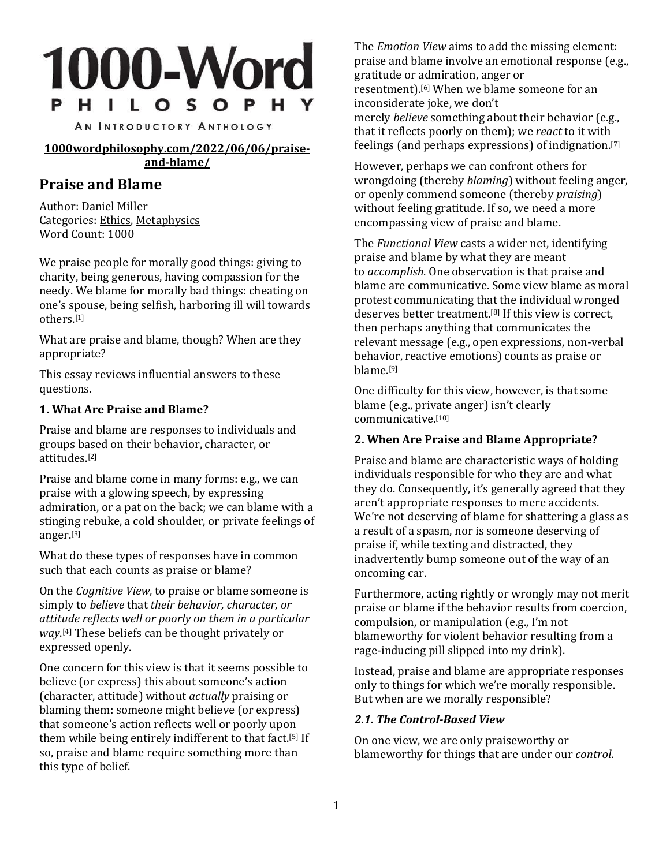# **1000-Word** P H I L O S O P H Y

AN INTRODUCTORY ANTHOLOGY

**[1000wordphilosophy.com/2022/06/06/praise](https://1000wordphilosophy.com/2022/06/06/praise-and-blame/)[and-blame/](https://1000wordphilosophy.com/2022/06/06/praise-and-blame/)**

# **Praise and Blame**

Author: Daniel Miller Categories: [Ethics,](https://1000wordphilosophy.com/ethics/) [Metaphysics](https://1000wordphilosophy.com/metaphysics/) Word Count: 1000

We praise people for morally good things: giving to charity, being generous, having compassion for the needy. We blame for morally bad things: cheating on one's spouse, being selfish, harboring ill will towards others. [\[1\]](https://1000wordphilosophy.com/2022/06/06/praise-and-blame/#_ftn1)

What are praise and blame, though? When are they appropriate?

This essay reviews influential answers to these questions.

## **1. What Are Praise and Blame?**

Praise and blame are responses to individuals and groups based on their behavior, character, or attitudes. [\[2\]](https://1000wordphilosophy.com/2022/06/06/praise-and-blame/#_ftn2)

Praise and blame come in many forms: e.g., we can praise with a glowing speech, by expressing admiration, or a pat on the back; we can blame with a stinging rebuke, a cold shoulder, or private feelings of anger. [\[3\]](https://1000wordphilosophy.com/2022/06/06/praise-and-blame/#_ftn3)

What do these types of responses have in common such that each counts as praise or blame?

On the *Cognitive View,* to praise or blame someone is simply to *believe* that *their behavior, character, or attitude reflects well or poorly on them in a particular way*. [\[4\]](https://1000wordphilosophy.com/2022/06/06/praise-and-blame/#_ftn4) These beliefs can be thought privately or expressed openly.

One concern for this view is that it seems possible to believe (or express) this about someone's action (character, attitude) without *actually* praising or blaming them: someone might believe (or express) that someone's action reflects well or poorly upon them while being entirely indifferent to that fact.<sup>[\[5\]](https://1000wordphilosophy.com/2022/06/06/praise-and-blame/#_ftn5)</sup> If so, praise and blame require something more than this type of belief.

The *Emotion View* aims to add the missing element: praise and blame involve an emotional response (e.g., gratitude or admiration, anger or resentment). [\[6\]](https://1000wordphilosophy.com/2022/06/06/praise-and-blame/#_ftn6) When we blame someone for an inconsiderate joke, we don't merely *believe* something about their behavior (e.g., that it reflects poorly on them); we *react* to it with feelings (and perhaps expressions) of indignation. [\[7\]](https://1000wordphilosophy.com/2022/06/06/praise-and-blame/#_ftn7)

However, perhaps we can confront others for wrongdoing (thereby *blaming*) without feeling anger, or openly commend someone (thereby *praising*) without feeling gratitude. If so, we need a more encompassing view of praise and blame.

The *Functional View* casts a wider net, identifying praise and blame by what they are meant to *accomplish*. One observation is that praise and blame are communicative. Some view blame as moral protest communicating that the individual wronged deserves better treatment.<sup>[\[8\]](https://1000wordphilosophy.com/2022/06/06/praise-and-blame/#_ftn8)</sup> If this view is correct, then perhaps anything that communicates the relevant message (e.g., open expressions, non-verbal behavior, reactive emotions) counts as praise or blame. [\[9\]](https://1000wordphilosophy.com/2022/06/06/praise-and-blame/#_ftn9)

One difficulty for this view, however, is that some blame (e.g., private anger) isn't clearly communicative. [\[10\]](https://1000wordphilosophy.com/2022/06/06/praise-and-blame/#_ftn10)

## **2. When Are Praise and Blame Appropriate?**

Praise and blame are characteristic ways of holding individuals responsible for who they are and what they do. Consequently, it's generally agreed that they aren't appropriate responses to mere accidents. We're not deserving of blame for shattering a glass as a result of a spasm, nor is someone deserving of praise if, while texting and distracted, they inadvertently bump someone out of the way of an oncoming car.

Furthermore, acting rightly or wrongly may not merit praise or blame if the behavior results from coercion, compulsion, or manipulation (e.g., I'm not blameworthy for violent behavior resulting from a rage-inducing pill slipped into my drink).

Instead, praise and blame are appropriate responses only to things for which we're morally responsible. But when are we morally responsible?

## *2.1. The Control-Based View*

On one view, we are only praiseworthy or blameworthy for things that are under our *control*.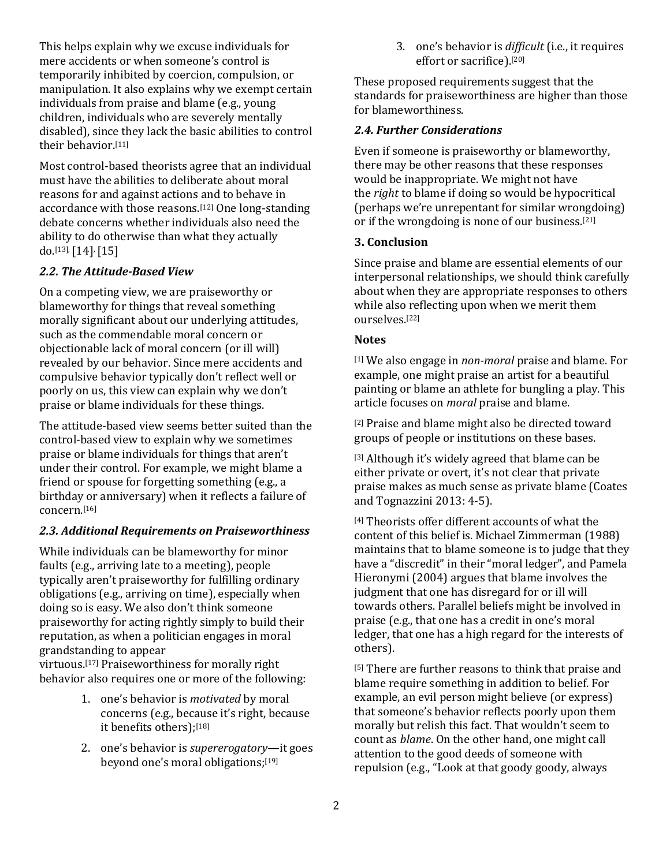This helps explain why we excuse individuals for mere accidents or when someone's control is temporarily inhibited by coercion, compulsion, or manipulation. It also explains why we exempt certain individuals from praise and blame (e.g., young children, individuals who are severely mentally disabled), since they lack the basic abilities to control their behavior. [\[11\]](https://1000wordphilosophy.com/2022/06/06/praise-and-blame/#_ftn11)

Most control-based theorists agree that an individual must have the abilities to deliberate about moral reasons for and against actions and to behave in accordance with those reasons. [\[12\]](https://1000wordphilosophy.com/2022/06/06/praise-and-blame/#_ftn12) One long-standing debate concerns whether individuals also need the ability to do otherwise than what they actually do. [\[13\],](https://1000wordphilosophy.com/2022/06/06/praise-and-blame/#_ftn13)[\[14\]](https://1000wordphilosophy.com/2022/06/06/praise-and-blame/#_ftn14),[\[15\]](https://1000wordphilosophy.com/2022/06/06/praise-and-blame/#_ftn15)

## *2.2. The Attitude-Based View*

On a competing view, we are praiseworthy or blameworthy for things that reveal something morally significant about our underlying attitudes, such as the commendable moral concern or objectionable lack of moral concern (or ill will) revealed by our behavior. Since mere accidents and compulsive behavior typically don't reflect well or poorly on us, this view can explain why we don't praise or blame individuals for these things.

The attitude-based view seems better suited than the control-based view to explain why we sometimes praise or blame individuals for things that aren't under their control. For example, we might blame a friend or spouse for forgetting something (e.g., a birthday or anniversary) when it reflects a failure of concern. [\[16\]](https://1000wordphilosophy.com/2022/06/06/praise-and-blame/#_ftn16)

## *2.3. Additional Requirements on Praiseworthiness*

While individuals can be blameworthy for minor faults (e.g., arriving late to a meeting), people typically aren't praiseworthy for fulfilling ordinary obligations (e.g., arriving on time), especially when doing so is easy. We also don't think someone praiseworthy for acting rightly simply to build their reputation, as when a politician engages in moral grandstanding to appear

virtuous. [\[17\]](https://1000wordphilosophy.com/2022/06/06/praise-and-blame/#_ftn17) Praiseworthiness for morally right behavior also requires one or more of the following:

- 1. one's behavior is *motivated* by moral concerns (e.g., because it's right, because it benefits others); [\[18\]](https://1000wordphilosophy.com/2022/06/06/praise-and-blame/#_ftn18)
- 2. one's behavior is *supererogatory*—it goes beyond one's moral obligations; [\[19\]](https://1000wordphilosophy.com/2022/06/06/praise-and-blame/#_ftn19)

3. one's behavior is *difficult* (i.e., it requires effort or sacrifice). [\[20\]](https://1000wordphilosophy.com/2022/06/06/praise-and-blame/#_ftn20)

These proposed requirements suggest that the standards for praiseworthiness are higher than those for blameworthiness.

## *2.4. Further Considerations*

Even if someone is praiseworthy or blameworthy, there may be other reasons that these responses would be inappropriate. We might not have the *right* to blame if doing so would be hypocritical (perhaps we're unrepentant for similar wrongdoing) or if the wrongdoing is none of our business. [\[21\]](https://1000wordphilosophy.com/2022/06/06/praise-and-blame/#_ftn21)

## **3. Conclusion**

Since praise and blame are essential elements of our interpersonal relationships, we should think carefully about when they are appropriate responses to others while also reflecting upon when we merit them ourselves. [\[22\]](https://1000wordphilosophy.com/2022/06/06/praise-and-blame/#_ftn22)

## **Notes**

[\[1\]](https://1000wordphilosophy.com/2022/06/06/praise-and-blame/#_ftnref1) We also engage in *non-moral* praise and blame. For example, one might praise an artist for a beautiful painting or blame an athlete for bungling a play. This article focuses on *moral* praise and blame.

[\[2\]](https://1000wordphilosophy.com/2022/06/06/praise-and-blame/#_ftnref2) Praise and blame might also be directed toward groups of people or institutions on these bases.

[\[3\]](https://1000wordphilosophy.com/2022/06/06/praise-and-blame/#_ftnref3) Although it's widely agreed that blame can be either private or overt, it's not clear that private praise makes as much sense as private blame (Coates and Tognazzini 2013: 4-5).

[\[4\]](https://1000wordphilosophy.com/2022/06/06/praise-and-blame/#_ftnref4) Theorists offer different accounts of what the content of this belief is. Michael Zimmerman (1988) maintains that to blame someone is to judge that they have a "discredit" in their "moral ledger", and Pamela Hieronymi (2004) argues that blame involves the judgment that one has disregard for or ill will towards others. Parallel beliefs might be involved in praise (e.g., that one has a credit in one's moral ledger, that one has a high regard for the interests of others).

[\[5\]](https://1000wordphilosophy.com/2022/06/06/praise-and-blame/#_ftnref5) There are further reasons to think that praise and blame require something in addition to belief. For example, an evil person might believe (or express) that someone's behavior reflects poorly upon them morally but relish this fact. That wouldn't seem to count as *blame*. On the other hand, one might call attention to the good deeds of someone with repulsion (e.g., "Look at that goody goody, always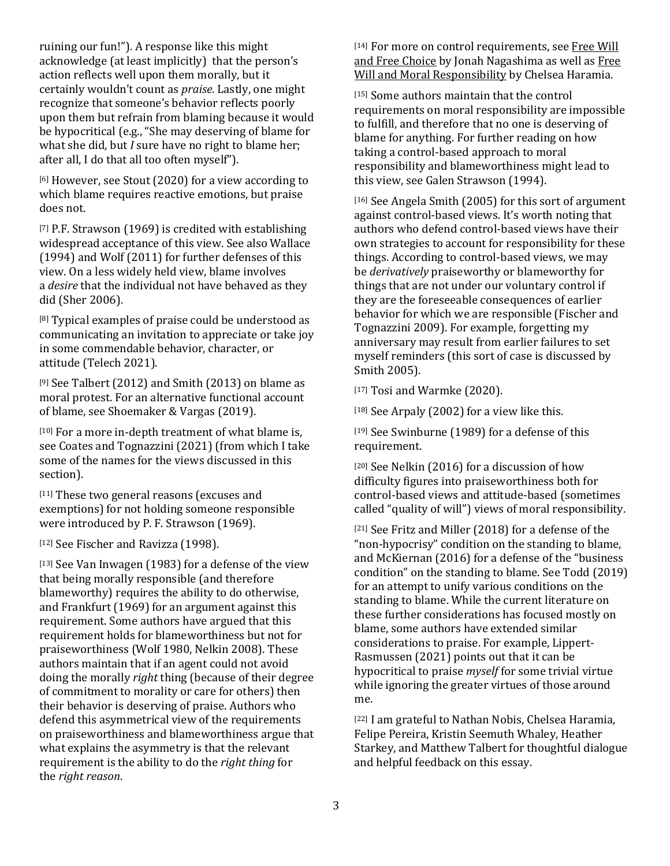ruining our fun!"). A response like this might acknowledge (at least implicitly) that the person's action reflects well upon them morally, but it certainly wouldn't count as *praise*. Lastly, one might recognize that someone's behavior reflects poorly upon them but refrain from blaming because it would be hypocritical (e.g., "She may deserving of blame for what she did, but *I* sure have no right to blame her; after all, I do that all too often myself").

[\[6\]](https://1000wordphilosophy.com/2022/06/06/praise-and-blame/#_ftnref6) However, see Stout (2020) for a view according to which blame requires reactive emotions, but praise does not.

[\[7\]](https://1000wordphilosophy.com/2022/06/06/praise-and-blame/#_ftnref7) P.F. Strawson (1969) is credited with establishing widespread acceptance of this view. See also Wallace (1994) and Wolf (2011) for further defenses of this view. On a less widely held view, blame involves a *desire* that the individual not have behaved as they did (Sher 2006).

[\[8\]](https://1000wordphilosophy.com/2022/06/06/praise-and-blame/#_ftnref8) Typical examples of praise could be understood as communicating an invitation to appreciate or take joy in some commendable behavior, character, or attitude (Telech 2021).

[\[9\]](https://1000wordphilosophy.com/2022/06/06/praise-and-blame/#_ftnref9) See Talbert (2012) and Smith (2013) on blame as moral protest. For an alternative functional account of blame, see Shoemaker & Vargas (2019).

[\[10\]](https://1000wordphilosophy.com/2022/06/06/praise-and-blame/#_ftnref10) For a more in-depth treatment of what blame is, see Coates and Tognazzini (2021) (from which I take some of the names for the views discussed in this section).

[\[11\]](https://1000wordphilosophy.com/2022/06/06/praise-and-blame/#_ftnref11) These two general reasons (excuses and exemptions) for not holding someone responsible were introduced by P. F. Strawson (1969).

[\[12\]](https://1000wordphilosophy.com/2022/06/06/praise-and-blame/#_ftnref12) See Fischer and Ravizza (1998).

[\[13\]](https://1000wordphilosophy.com/2022/06/06/praise-and-blame/#_ftnref13) See Van Inwagen (1983) for a defense of the view that being morally responsible (and therefore blameworthy) requires the ability to do otherwise, and Frankfurt (1969) for an argument against this requirement. Some authors have argued that this requirement holds for blameworthiness but not for praiseworthiness (Wolf 1980, Nelkin 2008). These authors maintain that if an agent could not avoid doing the morally *right* thing (because of their degree of commitment to morality or care for others) then their behavior is deserving of praise. Authors who defend this asymmetrical view of the requirements on praiseworthiness and blameworthiness argue that what explains the asymmetry is that the relevant requirement is the ability to do the *right thing* for the *right reason*.

[\[14\]](https://1000wordphilosophy.com/2022/06/06/praise-and-blame/#_ftnref14) For more on control requirements, see [Free](https://1000wordphilosophy.com/2014/04/03/free-will-and-free-choice/) [Will](https://1000wordphilosophy.com/2014/04/03/free-will-and-free-choice/) and Free [Choice](https://1000wordphilosophy.com/2014/04/03/free-will-and-free-choice/) by Jonah Nagashima as well as [Free](https://1000wordphilosophy.com/2014/06/02/free-will-and-moral-responsibility/) Will and Moral [Responsibility](https://1000wordphilosophy.com/2014/06/02/free-will-and-moral-responsibility/) by Chelsea Haramia.

[\[15\]](https://1000wordphilosophy.com/2022/06/06/praise-and-blame/#_ftnref15) Some authors maintain that the control requirements on moral responsibility are impossible to fulfill, and therefore that no one is deserving of blame for anything. For further reading on how taking a control-based approach to moral responsibility and blameworthiness might lead to this view, see Galen Strawson (1994).

[\[16\]](https://1000wordphilosophy.com/2022/06/06/praise-and-blame/#_ftnref16) See Angela Smith (2005) for this sort of argument against control-based views. It's worth noting that authors who defend control-based views have their own strategies to account for responsibility for these things. According to control-based views, we may be *derivatively* praiseworthy or blameworthy for things that are not under our voluntary control if they are the foreseeable consequences of earlier behavior for which we are responsible (Fischer and Tognazzini 2009). For example, forgetting my anniversary may result from earlier failures to set myself reminders (this sort of case is discussed by Smith 2005).

[\[17\]](https://1000wordphilosophy.com/2022/06/06/praise-and-blame/#_ftnref17) Tosi and Warmke (2020).

[\[18\]](https://1000wordphilosophy.com/2022/06/06/praise-and-blame/#_ftnref18) See Arpaly (2002) for a view like this.

[\[19\]](https://1000wordphilosophy.com/2022/06/06/praise-and-blame/#_ftnref19) See Swinburne (1989) for a defense of this requirement.

[\[20\]](https://1000wordphilosophy.com/2022/06/06/praise-and-blame/#_ftnref20) See Nelkin (2016) for a discussion of how difficulty figures into praiseworthiness both for control-based views and attitude-based (sometimes called "quality of will") views of moral responsibility.

[\[21\]](https://1000wordphilosophy.com/2022/06/06/praise-and-blame/#_ftnref21) See Fritz and Miller (2018) for a defense of the "non-hypocrisy" condition on the standing to blame, and McKiernan (2016) for a defense of the "business condition" on the standing to blame. See Todd (2019) for an attempt to unify various conditions on the standing to blame. While the current literature on these further considerations has focused mostly on blame, some authors have extended similar considerations to praise. For example, Lippert-Rasmussen (2021) points out that it can be hypocritical to praise *myself* for some trivial virtue while ignoring the greater virtues of those around me.

[\[22\]](https://1000wordphilosophy.com/2022/06/06/praise-and-blame/#_ftnref22) I am grateful to Nathan Nobis, Chelsea Haramia, Felipe Pereira, Kristin Seemuth Whaley, Heather Starkey, and Matthew Talbert for thoughtful dialogue and helpful feedback on this essay.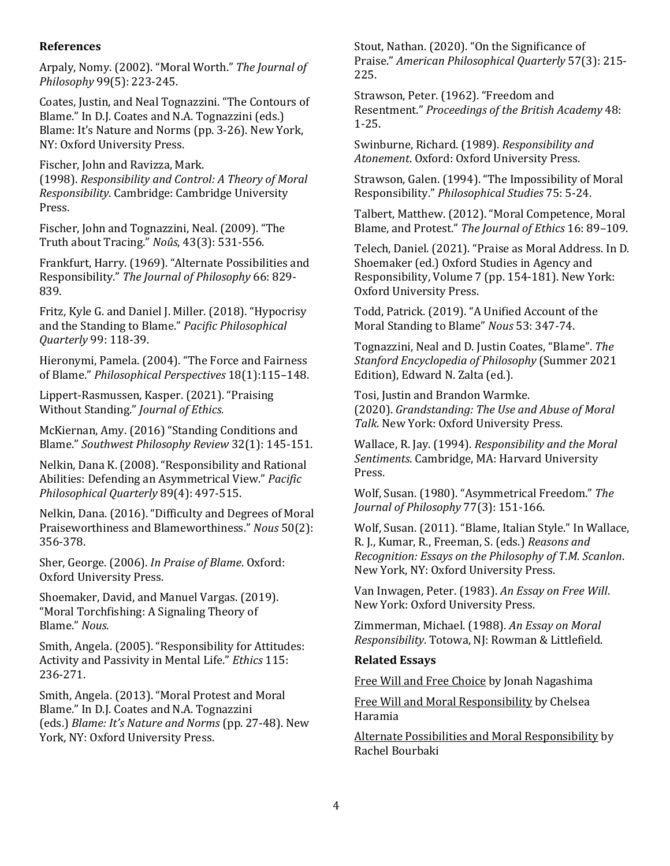#### **References**

Arpaly, Nomy. (2002). "Moral [Worth."](https://doi.org/10.2307/3655647) *The [Journal](https://doi.org/10.2307/3655647) of [Philosophy](https://doi.org/10.2307/3655647)* 99(5): [223-245.](https://doi.org/10.2307/3655647)

Coates, Justin, and Neal [Tognazzini.](https://oxford.universitypressscholarship.com/view/10.1093/acprof:oso/9780199860821.001.0001/acprof-9780199860821) "The Contours of Blame." In D.J. Coates and N.A. [Tognazzini](https://oxford.universitypressscholarship.com/view/10.1093/acprof:oso/9780199860821.001.0001/acprof-9780199860821) (eds.) [Blame:](https://oxford.universitypressscholarship.com/view/10.1093/acprof:oso/9780199860821.001.0001/acprof-9780199860821) It's Nature and Norms (pp. 3-26). New York, NY: Oxford [University](https://oxford.universitypressscholarship.com/view/10.1093/acprof:oso/9780199860821.001.0001/acprof-9780199860821) Press.

Fischer, John and [Ravizza,](https://doi.org/10.1017/CBO9780511814594) Mark.

[\(1998\).](https://doi.org/10.1017/CBO9780511814594) *[Responsibility](https://doi.org/10.1017/CBO9780511814594) and Control: A Theory of Moral [Responsibility](https://doi.org/10.1017/CBO9780511814594)*. [Cambridge:](https://doi.org/10.1017/CBO9780511814594) Cambridge University [Press.](https://doi.org/10.1017/CBO9780511814594)

Fischer, John and [Tognazzini,](https://www.jstor.org/stable/40267354) Neal. (2009). "The Truth about [Tracing."](https://www.jstor.org/stable/40267354) *[Noûs](https://www.jstor.org/stable/40267354)*, 43(3): [531-556.](https://www.jstor.org/stable/40267354)

Frankfurt, Harry. (1969). "Alternate [Possibilities](https://doi.org/10.2307/2023833) and [Responsibility."](https://doi.org/10.2307/2023833) *The Journal of [Philosophy](https://doi.org/10.2307/2023833)* 66: [829-](https://doi.org/10.2307/2023833) [839.](https://doi.org/10.2307/2023833)

Fritz, Kyle G. and Daniel J. Miller. (2018). ["Hypocrisy](https://doi.org/10.1111/papq.12104) and the [Standing](https://doi.org/10.1111/papq.12104) to Blame." *Pacific [Philosophical](https://doi.org/10.1111/papq.12104) [Quarterly](https://doi.org/10.1111/papq.12104)* 99: [118-39.](https://doi.org/10.1111/papq.12104)

[Hieronymi,](https://www.jstor.org/stable/3840930) Pamela. (2004). "The Force and Fairness of [Blame."](https://www.jstor.org/stable/3840930) *[Philosophical](https://www.jstor.org/stable/3840930) Perspectives* [18\(1\):115](https://www.jstor.org/stable/3840930)–148.

[Lippert-Rasmussen,](https://doi.org/10.1007/s10892-021-09374-2) Kasper. (2021). "Praising Without [Standing."](https://doi.org/10.1007/s10892-021-09374-2) *[Journal](https://doi.org/10.1007/s10892-021-09374-2) of Ethics.*

[McKiernan,](https://doi-org.wvu.idm.oclc.org/10.5840/swphilreview201632115) Amy. (2016) "Standing Conditions and [Blame."](https://doi-org.wvu.idm.oclc.org/10.5840/swphilreview201632115) *Southwest [Philosophy](https://doi-org.wvu.idm.oclc.org/10.5840/swphilreview201632115) Review* 32(1): [145-151.](https://doi-org.wvu.idm.oclc.org/10.5840/swphilreview201632115)

Nelkin, Dana K. (2008). ["Responsibility](https://doi.org/10.1111/j.1468-0114.2008.00333.x) and Rational Abilities: Defending an [Asymmetrical](https://doi.org/10.1111/j.1468-0114.2008.00333.x) View." *[Pacific](https://doi.org/10.1111/j.1468-0114.2008.00333.x) [Philosophical](https://doi.org/10.1111/j.1468-0114.2008.00333.x) Quarterly* 89(4): [497-515.](https://doi.org/10.1111/j.1468-0114.2008.00333.x)

Nelkin, Dana. (2016). ["Difficulty](https://doi.org/10.1111/nous.12079) and Degrees of Moral Praiseworthiness and [Blameworthiness."](https://doi.org/10.1111/nous.12079) *[Nous](https://doi.org/10.1111/nous.12079)* [50\(2\):](https://doi.org/10.1111/nous.12079) [356-378.](https://doi.org/10.1111/nous.12079)

Sher, [George.](https://oxford.universitypressscholarship.com/view/10.1093/0195187423.001.0001/acprof-9780195187427) (2006). *In Praise of [Blame](https://oxford.universitypressscholarship.com/view/10.1093/0195187423.001.0001/acprof-9780195187427)*. [Oxford:](https://oxford.universitypressscholarship.com/view/10.1093/0195187423.001.0001/acprof-9780195187427) Oxford [University](https://oxford.universitypressscholarship.com/view/10.1093/0195187423.001.0001/acprof-9780195187427) Press.

[Shoemaker,](https://doi.org/10.1111/nous.12316) David, and Manuel Vargas. (2019). "Moral [Torchfishing:](https://doi.org/10.1111/nous.12316) A Signaling Theory of [Blame."](https://doi.org/10.1111/nous.12316) *[Nous](https://doi.org/10.1111/nous.12316)*.

Smith, Angela. (2005). ["Responsibility](https://doi.org/10.1086/426957) for Attitudes: Activity and [Passivity](https://doi.org/10.1086/426957) in Mental Life." *[Ethics](https://doi.org/10.1086/426957)* [115:](https://doi.org/10.1086/426957) [236-271.](https://doi.org/10.1086/426957)

Smith, Angela. [\(2013\).](https://oxford.universitypressscholarship.com/view/10.1093/acprof:oso/9780199860821.001.0001/acprof-9780199860821) "Moral Protest and Moral Blame." In D.J. Coates and N.A. [Tognazzini](https://oxford.universitypressscholarship.com/view/10.1093/acprof:oso/9780199860821.001.0001/acprof-9780199860821) [\(eds.\)](https://oxford.universitypressscholarship.com/view/10.1093/acprof:oso/9780199860821.001.0001/acprof-9780199860821) *Blame: It's [Nature](https://oxford.universitypressscholarship.com/view/10.1093/acprof:oso/9780199860821.001.0001/acprof-9780199860821) and Norms* (pp. [27-48\).](https://oxford.universitypressscholarship.com/view/10.1093/acprof:oso/9780199860821.001.0001/acprof-9780199860821) New York, NY: Oxford [University](https://oxford.universitypressscholarship.com/view/10.1093/acprof:oso/9780199860821.001.0001/acprof-9780199860821) Press.

Stout, Nathan. (2020). "On the [Significance](https://doi.org/10.2307/48574434) of [Praise."](https://doi.org/10.2307/48574434) *American [Philosophical](https://doi.org/10.2307/48574434) Quarterly* [57\(3\):](https://doi.org/10.2307/48574434) 215- [225.](https://doi.org/10.2307/48574434)

[Strawson,](https://people.brandeis.edu/~teuber/P._F._Strawson_Freedom_&_Resentment.pdf) Peter. (1962). "Freedom and [Resentment."](https://people.brandeis.edu/~teuber/P._F._Strawson_Freedom_&_Resentment.pdf) *[Proceedings](https://people.brandeis.edu/~teuber/P._F._Strawson_Freedom_&_Resentment.pdf) of the British Academy* [48:](https://people.brandeis.edu/~teuber/P._F._Strawson_Freedom_&_Resentment.pdf) [1-25.](https://people.brandeis.edu/~teuber/P._F._Strawson_Freedom_&_Resentment.pdf)

[Swinburne,](https://oxford.universitypressscholarship.com/view/10.1093/0198248490.001.0001/acprof-9780198248491) Richard. (1989). *[Responsibility](https://oxford.universitypressscholarship.com/view/10.1093/0198248490.001.0001/acprof-9780198248491) and [Atonement](https://oxford.universitypressscholarship.com/view/10.1093/0198248490.001.0001/acprof-9780198248491)*. Oxford: Oxford [University](https://oxford.universitypressscholarship.com/view/10.1093/0198248490.001.0001/acprof-9780198248491) Press.

Strawson, Galen. (1994). "The [Impossibility](https://doi.org/10.1007/BF00989879) of Moral R[esponsibility."](https://doi.org/10.1007/BF00989879) *[Philosophical](https://doi.org/10.1007/BF00989879) Studies* 75: [5-24.](https://doi.org/10.1007/BF00989879)

Talbert, Matthew. (2012). "Moral [Competence,](https://www.jstor.org/stable/41486948) Moral Blame, and [Protest."](https://www.jstor.org/stable/41486948) *The [Journal](https://www.jstor.org/stable/41486948) of Ethics* 16: 89–[109.](https://www.jstor.org/stable/41486948)

Telech, Daniel. (2021). "Praise as Moral [Address.](https://global.oup.com/academic/product/oxford-studies-in-agency-and-responsibility-volume-7-9780192844644?cc=us&lang=en&) In D. [Shoemaker](https://global.oup.com/academic/product/oxford-studies-in-agency-and-responsibility-volume-7-9780192844644?cc=us&lang=en&) (ed.) Oxford Studies in Agency and [Responsibility,](https://global.oup.com/academic/product/oxford-studies-in-agency-and-responsibility-volume-7-9780192844644?cc=us&lang=en&) Volume 7 (pp. 154-181). New York: Oxford [University](https://global.oup.com/academic/product/oxford-studies-in-agency-and-responsibility-volume-7-9780192844644?cc=us&lang=en&) Press.

Todd, Patrick. (2019). "A Unified [Account](https://doi.org/10.1111/nous.12215) of the Moral [Standing](https://doi.org/10.1111/nous.12215) to Blame" *[Nous](https://doi.org/10.1111/nous.12215)* 53: [347-74.](https://doi.org/10.1111/nous.12215)

[Tognazzini,](https://plato.stanford.edu/archives/sum2021/entries/blame/) Neal and D. Justin Coates, "Blame". *[The](https://plato.stanford.edu/archives/sum2021/entries/blame/) Stanford [Encyclopedia](https://plato.stanford.edu/archives/sum2021/entries/blame/) of Philosophy* [\(Summer](https://plato.stanford.edu/archives/sum2021/entries/blame/) 2021 [Edition\),](https://plato.stanford.edu/archives/sum2021/entries/blame/) Edward N. Zalta (ed.).

Tosi, Justin and Brandon [Warmke.](https://oxford.universitypressscholarship.com/view/10.1093/oso/9780190900151.001.0001/oso-9780190900151) [\(2020\).](https://oxford.universitypressscholarship.com/view/10.1093/oso/9780190900151.001.0001/oso-9780190900151) *[Grandstanding:](https://oxford.universitypressscholarship.com/view/10.1093/oso/9780190900151.001.0001/oso-9780190900151) The Use and Abuse of Moral [Talk](https://oxford.universitypressscholarship.com/view/10.1093/oso/9780190900151.001.0001/oso-9780190900151)*. New York: Oxford [University](https://oxford.universitypressscholarship.com/view/10.1093/oso/9780190900151.001.0001/oso-9780190900151) Press.

[Wallace,](https://www.hup.harvard.edu/catalog.php?isbn=9780674766235) R. Jay. (1994). *[Responsibility](https://www.hup.harvard.edu/catalog.php?isbn=9780674766235) and the Moral [Sentiments](https://www.hup.harvard.edu/catalog.php?isbn=9780674766235)*. [Cambridge,](https://www.hup.harvard.edu/catalog.php?isbn=9780674766235) MA: Harvard University [Press.](https://www.hup.harvard.edu/catalog.php?isbn=9780674766235)

Wolf, Susan. (1980). ["Asymmetrical](https://www.jstor.org/stable/2025667) Freedom." *[The](https://www.jstor.org/stable/2025667) Journal of [Philosophy](https://www.jstor.org/stable/2025667)* 77(3): [151-166.](https://www.jstor.org/stable/2025667)

Wolf, Susan. (2011). "Blame, Italian Style." In [Wallace,](https://oxford.universitypressscholarship.com/view/10.1093/acprof:oso/9780199753673.001.0001/acprof-9780199753673) R. J., Kumar, R., [Freeman,](https://oxford.universitypressscholarship.com/view/10.1093/acprof:oso/9780199753673.001.0001/acprof-9780199753673) S. (eds.) *[Reasons](https://oxford.universitypressscholarship.com/view/10.1093/acprof:oso/9780199753673.001.0001/acprof-9780199753673) and [Recognition:](https://oxford.universitypressscholarship.com/view/10.1093/acprof:oso/9780199753673.001.0001/acprof-9780199753673) Essays on the Philosophy of T.M. Scanlo[n](https://oxford.universitypressscholarship.com/view/10.1093/acprof:oso/9780199753673.001.0001/acprof-9780199753673)*. New York, NY: Oxford [University](https://oxford.universitypressscholarship.com/view/10.1093/acprof:oso/9780199753673.001.0001/acprof-9780199753673) Press.

Van [Inwagen,](https://global.oup.com/academic/product/an-essay-on-free-will-9780198249245?cc=us&lang=en&type=listing) Peter. (1983). *An [Essay](https://global.oup.com/academic/product/an-essay-on-free-will-9780198249245?cc=us&lang=en&type=listing) on Free Wil[l](https://global.oup.com/academic/product/an-essay-on-free-will-9780198249245?cc=us&lang=en&type=listing)*. New York: Oxford [University](https://global.oup.com/academic/product/an-essay-on-free-will-9780198249245?cc=us&lang=en&type=listing) Press.

[Zimmerman,](https://www.worldcat.org/title/essay-on-moral-responsibility/oclc/16712250) Michael. (1988). *An Essay on [Moral](https://www.worldcat.org/title/essay-on-moral-responsibility/oclc/16712250) [Responsibility](https://www.worldcat.org/title/essay-on-moral-responsibility/oclc/16712250)*. Totowa, NJ: Rowman & [Littlefield.](https://www.worldcat.org/title/essay-on-moral-responsibility/oclc/16712250)

#### **Related Essays**

Free Will and Free [Choice](https://1000wordphilosophy.com/2014/04/03/free-will-and-free-choice/) by Jonah Nagashima

Free Will and Moral [Responsibility](https://1000wordphilosophy.com/2014/06/02/free-will-and-moral-responsibility/) by Chelsea Haramia

Alternate Possibilities and Moral [Responsibility](https://1000wordphilosophy.com/2014/09/22/alternate-possibilities-and-moral-responsibility/) by Rachel Bourbaki